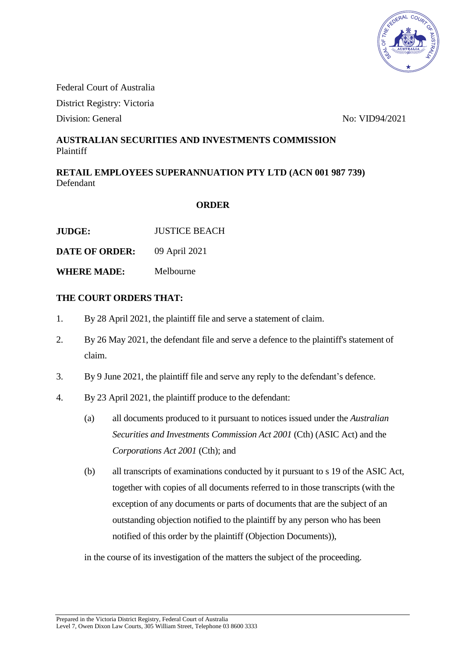

Federal Court of Australia District Registry: Victoria

Division: General No: VID94/2021

## **AUSTRALIAN SECURITIES AND INVESTMENTS COMMISSION** Plaintiff

**RETAIL EMPLOYEES SUPERANNUATION PTY LTD (ACN 001 987 739)** Defendant

## **ORDER**

**JUDGE:** JUSTICE BEACH

**DATE OF ORDER:** 09 April 2021

**WHERE MADE:** Melbourne

## **THE COURT ORDERS THAT:**

- 1. By 28 April 2021, the plaintiff file and serve a statement of claim.
- 2. By 26 May 2021, the defendant file and serve a defence to the plaintiff's statement of claim.
- 3. By 9 June 2021, the plaintiff file and serve any reply to the defendant's defence.
- 4. By 23 April 2021, the plaintiff produce to the defendant:
	- (a) all documents produced to it pursuant to notices issued under the *Australian Securities and Investments Commission Act 2001* (Cth) (ASIC Act) and the *Corporations Act 2001* (Cth); and
	- (b) all transcripts of examinations conducted by it pursuant to s 19 of the ASIC Act, together with copies of all documents referred to in those transcripts (with the exception of any documents or parts of documents that are the subject of an outstanding objection notified to the plaintiff by any person who has been notified of this order by the plaintiff (Objection Documents)),

in the course of its investigation of the matters the subject of the proceeding.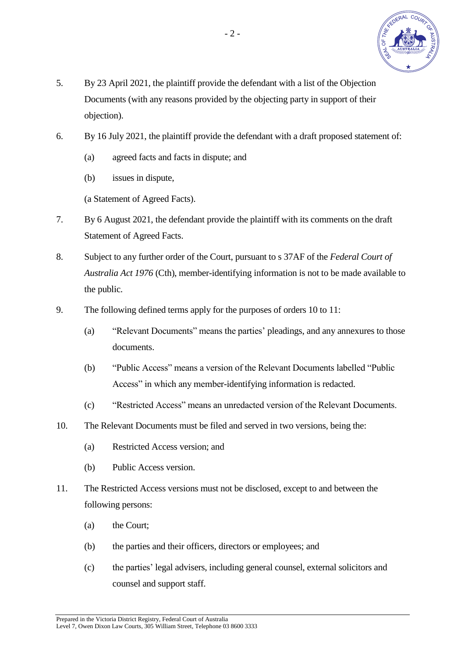

- 5. By 23 April 2021, the plaintiff provide the defendant with a list of the Objection Documents (with any reasons provided by the objecting party in support of their objection).
- 6. By 16 July 2021, the plaintiff provide the defendant with a draft proposed statement of:
	- (a) agreed facts and facts in dispute; and
	- (b) issues in dispute,

(a Statement of Agreed Facts).

- 7. By 6 August 2021, the defendant provide the plaintiff with its comments on the draft Statement of Agreed Facts.
- 8. Subject to any further order of the Court, pursuant to s 37AF of the *Federal Court of Australia Act 1976* (Cth), member-identifying information is not to be made available to the public.
- 9. The following defined terms apply for the purposes of orders 10 to 11:
	- (a) "Relevant Documents" means the parties' pleadings, and any annexures to those documents.
	- (b) "Public Access" means a version of the Relevant Documents labelled "Public Access" in which any member-identifying information is redacted.
	- (c) "Restricted Access" means an unredacted version of the Relevant Documents.
- 10. The Relevant Documents must be filed and served in two versions, being the:
	- (a) Restricted Access version; and
	- (b) Public Access version.
- 11. The Restricted Access versions must not be disclosed, except to and between the following persons:
	- (a) the Court;
	- (b) the parties and their officers, directors or employees; and
	- (c) the parties' legal advisers, including general counsel, external solicitors and counsel and support staff.